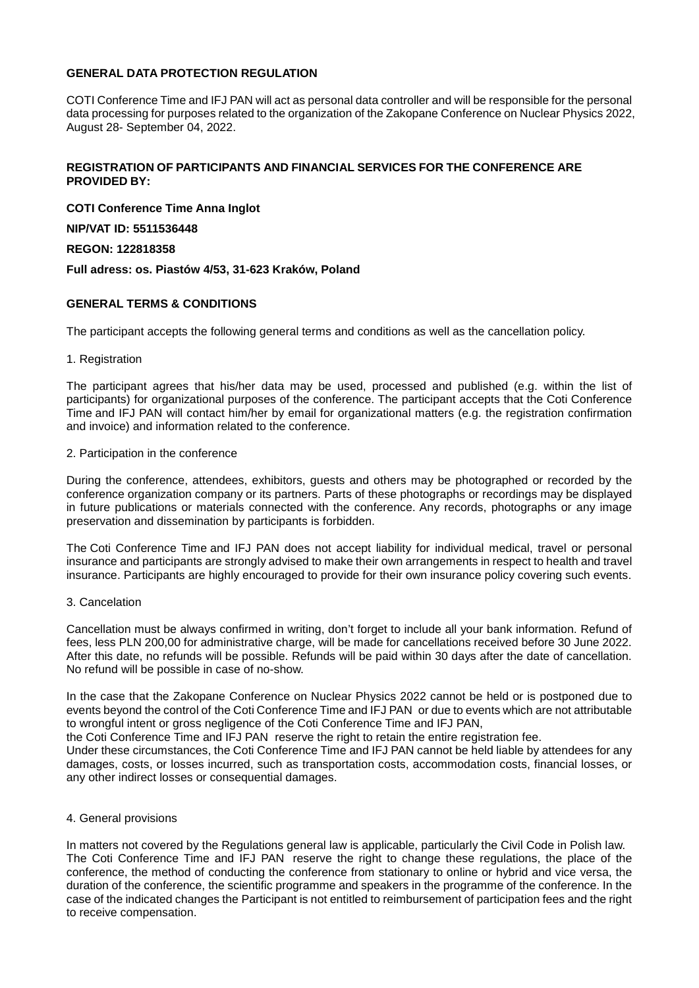# **GENERAL DATA PROTECTION REGULATION**

COTI Conference Time and IFJ PAN will act as personal data controller and will be responsible for the personal data processing for purposes related to the organization of the Zakopane Conference on Nuclear Physics 2022, August 28- September 04, 2022.

# **REGISTRATION OF PARTICIPANTS AND FINANCIAL SERVICES FOR THE CONFERENCE ARE PROVIDED BY:**

**COTI Conference Time Anna Inglot**

## **NIP/VAT ID: 5511536448**

## **REGON: 122818358**

**Full adress: os. Piastów 4/53, 31-623 Kraków, Poland**

# **GENERAL TERMS & CONDITIONS**

The participant accepts the following general terms and conditions as well as the cancellation policy.

### 1. Registration

The participant agrees that his/her data may be used, processed and published (e.g. within the list of participants) for organizational purposes of the conference. The participant accepts that the Coti Conference Time and IFJ PAN will contact him/her by email for organizational matters (e.g. the registration confirmation and invoice) and information related to the conference.

### 2. Participation in the conference

During the conference, attendees, exhibitors, guests and others may be photographed or recorded by the conference organization company or its partners. Parts of these photographs or recordings may be displayed in future publications or materials connected with the conference. Any records, photographs or any image preservation and dissemination by participants is forbidden.

The Coti Conference Time and IFJ PAN does not accept liability for individual medical, travel or personal insurance and participants are strongly advised to make their own arrangements in respect to health and travel insurance. Participants are highly encouraged to provide for their own insurance policy covering such events.

### 3. Cancelation

Cancellation must be always confirmed in writing, don't forget to include all your bank information. Refund of fees, less PLN 200,00 for administrative charge, will be made for cancellations received before 30 June 2022. After this date, no refunds will be possible. Refunds will be paid within 30 days after the date of cancellation. No refund will be possible in case of no-show.

In the case that the Zakopane Conference on Nuclear Physics 2022 cannot be held or is postponed due to events beyond the control of the Coti Conference Time and IFJ PAN or due to events which are not attributable to wrongful intent or gross negligence of the Coti Conference Time and IFJ PAN,

the Coti Conference Time and IFJ PAN reserve the right to retain the entire registration fee.

Under these circumstances, the Coti Conference Time and IFJ PAN cannot be held liable by attendees for any damages, costs, or losses incurred, such as transportation costs, accommodation costs, financial losses, or any other indirect losses or consequential damages.

### 4. General provisions

In matters not covered by the Regulations general law is applicable, particularly the Civil Code in Polish law. The Coti Conference Time and IFJ PAN reserve the right to change these regulations, the place of the conference, the method of conducting the conference from stationary to online or hybrid and vice versa, the duration of the conference, the scientific programme and speakers in the programme of the conference. In the case of the indicated changes the Participant is not entitled to reimbursement of participation fees and the right to receive compensation.